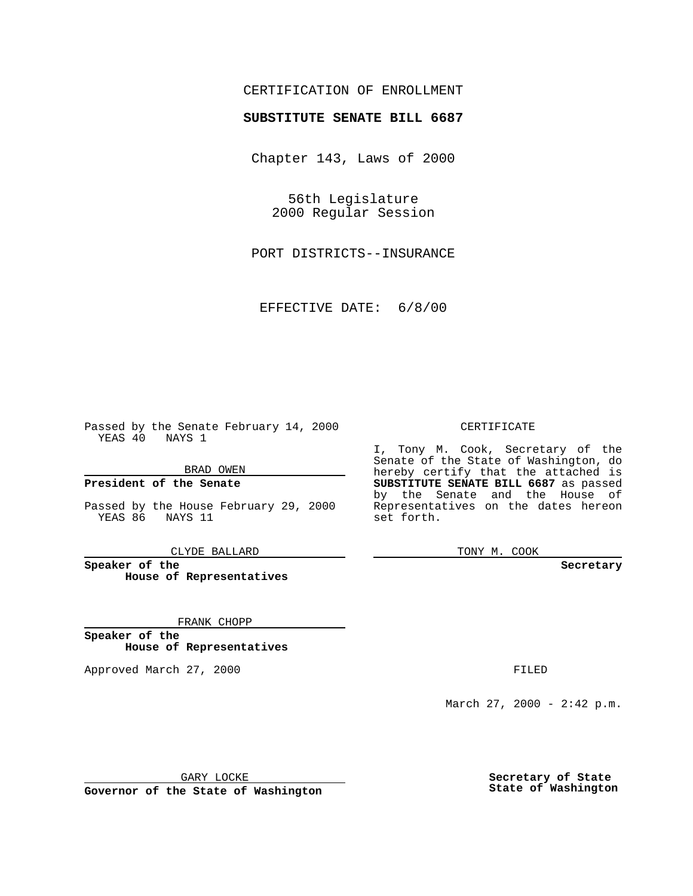### CERTIFICATION OF ENROLLMENT

# **SUBSTITUTE SENATE BILL 6687**

Chapter 143, Laws of 2000

56th Legislature 2000 Regular Session

PORT DISTRICTS--INSURANCE

EFFECTIVE DATE: 6/8/00

Passed by the Senate February 14, 2000 YEAS 40 NAYS 1

BRAD OWEN

**President of the Senate**

Passed by the House February 29, 2000 YEAS 86 NAYS 11

CLYDE BALLARD

**Speaker of the House of Representatives**

FRANK CHOPP

**Speaker of the House of Representatives**

Approved March 27, 2000 FILED

#### CERTIFICATE

I, Tony M. Cook, Secretary of the Senate of the State of Washington, do hereby certify that the attached is **SUBSTITUTE SENATE BILL 6687** as passed by the Senate and the House of Representatives on the dates hereon set forth.

TONY M. COOK

**Secretary**

March 27, 2000 - 2:42 p.m.

GARY LOCKE

**Governor of the State of Washington**

**Secretary of State State of Washington**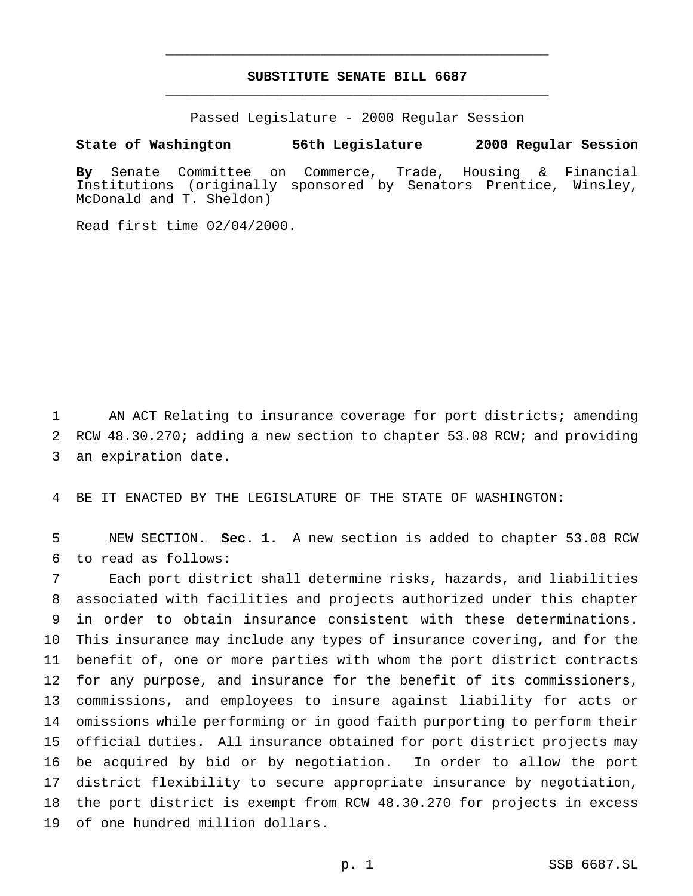## **SUBSTITUTE SENATE BILL 6687** \_\_\_\_\_\_\_\_\_\_\_\_\_\_\_\_\_\_\_\_\_\_\_\_\_\_\_\_\_\_\_\_\_\_\_\_\_\_\_\_\_\_\_\_\_\_\_

\_\_\_\_\_\_\_\_\_\_\_\_\_\_\_\_\_\_\_\_\_\_\_\_\_\_\_\_\_\_\_\_\_\_\_\_\_\_\_\_\_\_\_\_\_\_\_

Passed Legislature - 2000 Regular Session

#### **State of Washington 56th Legislature 2000 Regular Session**

**By** Senate Committee on Commerce, Trade, Housing & Financial Institutions (originally sponsored by Senators Prentice, Winsley, McDonald and T. Sheldon)

Read first time 02/04/2000.

 AN ACT Relating to insurance coverage for port districts; amending RCW 48.30.270; adding a new section to chapter 53.08 RCW; and providing an expiration date.

BE IT ENACTED BY THE LEGISLATURE OF THE STATE OF WASHINGTON:

 NEW SECTION. **Sec. 1.** A new section is added to chapter 53.08 RCW to read as follows:

 Each port district shall determine risks, hazards, and liabilities associated with facilities and projects authorized under this chapter in order to obtain insurance consistent with these determinations. This insurance may include any types of insurance covering, and for the benefit of, one or more parties with whom the port district contracts for any purpose, and insurance for the benefit of its commissioners, commissions, and employees to insure against liability for acts or omissions while performing or in good faith purporting to perform their official duties. All insurance obtained for port district projects may be acquired by bid or by negotiation. In order to allow the port district flexibility to secure appropriate insurance by negotiation, the port district is exempt from RCW 48.30.270 for projects in excess of one hundred million dollars.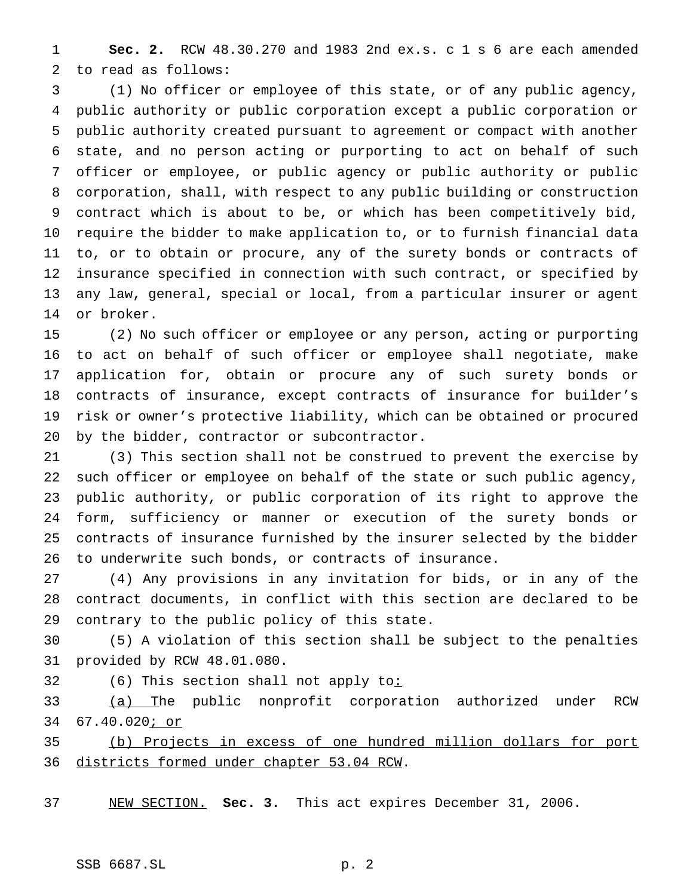**Sec. 2.** RCW 48.30.270 and 1983 2nd ex.s. c 1 s 6 are each amended to read as follows:

 (1) No officer or employee of this state, or of any public agency, public authority or public corporation except a public corporation or public authority created pursuant to agreement or compact with another state, and no person acting or purporting to act on behalf of such officer or employee, or public agency or public authority or public corporation, shall, with respect to any public building or construction contract which is about to be, or which has been competitively bid, require the bidder to make application to, or to furnish financial data to, or to obtain or procure, any of the surety bonds or contracts of insurance specified in connection with such contract, or specified by any law, general, special or local, from a particular insurer or agent or broker.

 (2) No such officer or employee or any person, acting or purporting to act on behalf of such officer or employee shall negotiate, make application for, obtain or procure any of such surety bonds or contracts of insurance, except contracts of insurance for builder's risk or owner's protective liability, which can be obtained or procured by the bidder, contractor or subcontractor.

 (3) This section shall not be construed to prevent the exercise by such officer or employee on behalf of the state or such public agency, public authority, or public corporation of its right to approve the form, sufficiency or manner or execution of the surety bonds or contracts of insurance furnished by the insurer selected by the bidder to underwrite such bonds, or contracts of insurance.

 (4) Any provisions in any invitation for bids, or in any of the contract documents, in conflict with this section are declared to be contrary to the public policy of this state.

 (5) A violation of this section shall be subject to the penalties provided by RCW 48.01.080.

32 (6) This section shall not apply to:

 (a) The public nonprofit corporation authorized under RCW 67.40.020; or

 (b) Projects in excess of one hundred million dollars for port districts formed under chapter 53.04 RCW.

NEW SECTION. **Sec. 3.** This act expires December 31, 2006.